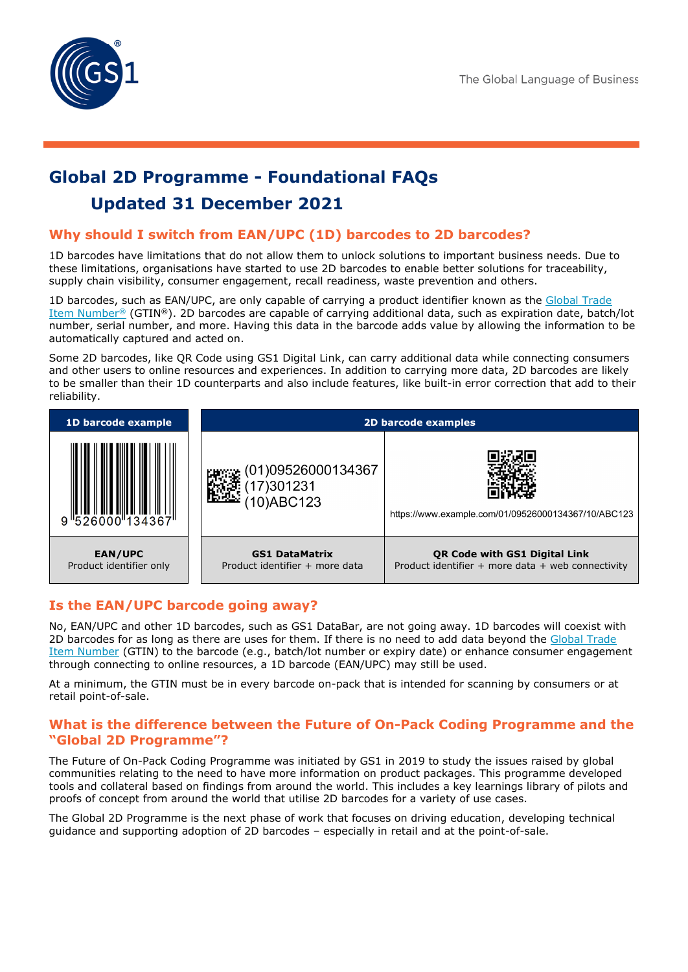# **Global 2D Programme - Foundational FAQs Updated 31 December 2021**

# **Why should I switch from EAN/UPC (1D) barcodes to 2D barcodes?**

1D barcodes have limitations that do not allow them to unlock solutions to important business needs. Due to these limitations, organisations have started to use 2D barcodes to enable better solutions for traceability, supply chain visibility, consumer engagement, recall readiness, waste prevention and others.

1D barcodes, such as EAN/UPC, are only capable of carrying a product identifier known as the [Global Trade](https://www.gs1.org/standards/id-keys/gtin)  [Item Number](https://www.gs1.org/standards/id-keys/gtin)® (GTIN®). 2D barcodes are capable of carrying additional data, such as expiration date, batch/lot number, serial number, and more. Having this data in the barcode adds value by allowing the information to be automatically captured and acted on.

Some 2D barcodes, like QR Code using GS1 Digital Link, can carry additional data while connecting consumers and other users to online resources and experiences. In addition to carrying more data, 2D barcodes are likely to be smaller than their 1D counterparts and also include features, like built-in error correction that add to their reliability.



## **Is the EAN/UPC barcode going away?**

No, EAN/UPC and other 1D barcodes, such as GS1 DataBar, are not going away. 1D barcodes will coexist with 2D barcodes for as long as there are uses for them. If there is no need to add data beyond the [Global Trade](https://www.gs1.org/standards/id-keys/gtin)  [Item Number](https://www.gs1.org/standards/id-keys/gtin) (GTIN) to the barcode (e.g., batch/lot number or expiry date) or enhance consumer engagement through connecting to online resources, a 1D barcode (EAN/UPC) may still be used.

At a minimum, the GTIN must be in every barcode on-pack that is intended for scanning by consumers or at retail point-of-sale.

### **What is the difference between the Future of On-Pack Coding Programme and the "Global 2D Programme"?**

The Future of On-Pack Coding Programme was initiated by GS1 in 2019 to study the issues raised by global communities relating to the need to have more information on product packages. This programme developed tools and collateral based on findings from around the world. This includes a key learnings library of pilots and proofs of concept from around the world that utilise 2D barcodes for a variety of use cases.

The Global 2D Programme is the next phase of work that focuses on driving education, developing technical guidance and supporting adoption of 2D barcodes – especially in retail and at the point-of-sale.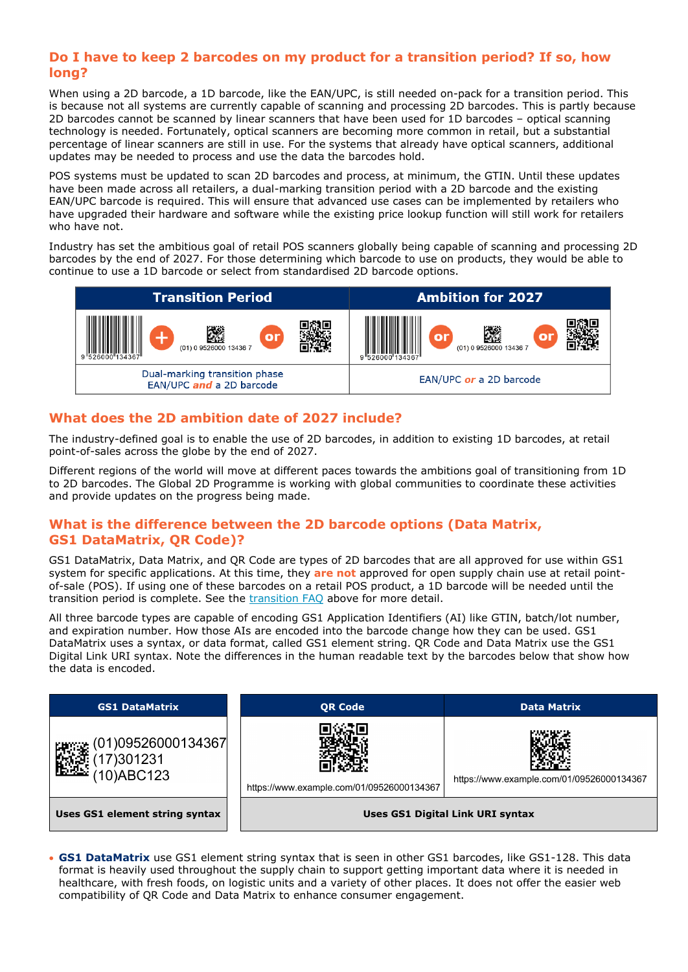## <span id="page-1-0"></span>**Do I have to keep 2 barcodes on my product for a transition period? If so, how long?**

When using a 2D barcode, a 1D barcode, like the EAN/UPC, is still needed on-pack for a transition period. This is because not all systems are currently capable of scanning and processing 2D barcodes. This is partly because 2D barcodes cannot be scanned by linear scanners that have been used for 1D barcodes – optical scanning technology is needed. Fortunately, optical scanners are becoming more common in retail, but a substantial percentage of linear scanners are still in use. For the systems that already have optical scanners, additional updates may be needed to process and use the data the barcodes hold.

POS systems must be updated to scan 2D barcodes and process, at minimum, the GTIN. Until these updates have been made across all retailers, a dual-marking transition period with a 2D barcode and the existing EAN/UPC barcode is required. This will ensure that advanced use cases can be implemented by retailers who have upgraded their hardware and software while the existing price lookup function will still work for retailers who have not.

Industry has set the ambitious goal of retail POS scanners globally being capable of scanning and processing 2D barcodes by the end of 2027. For those determining which barcode to use on products, they would be able to continue to use a 1D barcode or select from standardised 2D barcode options.



# **What does the 2D ambition date of 2027 include?**

The industry-defined goal is to enable the use of 2D barcodes, in addition to existing 1D barcodes, at retail point-of-sales across the globe by the end of 2027.

Different regions of the world will move at different paces towards the ambitions goal of transitioning from 1D to 2D barcodes. The Global 2D Programme is working with global communities to coordinate these activities and provide updates on the progress being made.

# **What is the difference between the 2D barcode options (Data Matrix, GS1 DataMatrix, QR Code)?**

GS1 DataMatrix, Data Matrix, and QR Code are types of 2D barcodes that are all approved for use within GS1 system for specific applications. At this time, they **are not** approved for open supply chain use at retail pointof-sale (POS). If using one of these barcodes on a retail POS product, a 1D barcode will be needed until the transition period is complete. See the [transition FAQ](#page-1-0) above for more detail.

All three barcode types are capable of encoding GS1 Application Identifiers (AI) like GTIN, batch/lot number, and expiration number. How those AIs are encoded into the barcode change how they can be used. GS1 DataMatrix uses a syntax, or data format, called GS1 element string. QR Code and Data Matrix use the GS1 Digital Link URI syntax. Note the differences in the human readable text by the barcodes below that show how the data is encoded.



• **GS1 DataMatrix** use GS1 element string syntax that is seen in other GS1 barcodes, like GS1-128. This data format is heavily used throughout the supply chain to support getting important data where it is needed in healthcare, with fresh foods, on logistic units and a variety of other places. It does not offer the easier web compatibility of QR Code and Data Matrix to enhance consumer engagement.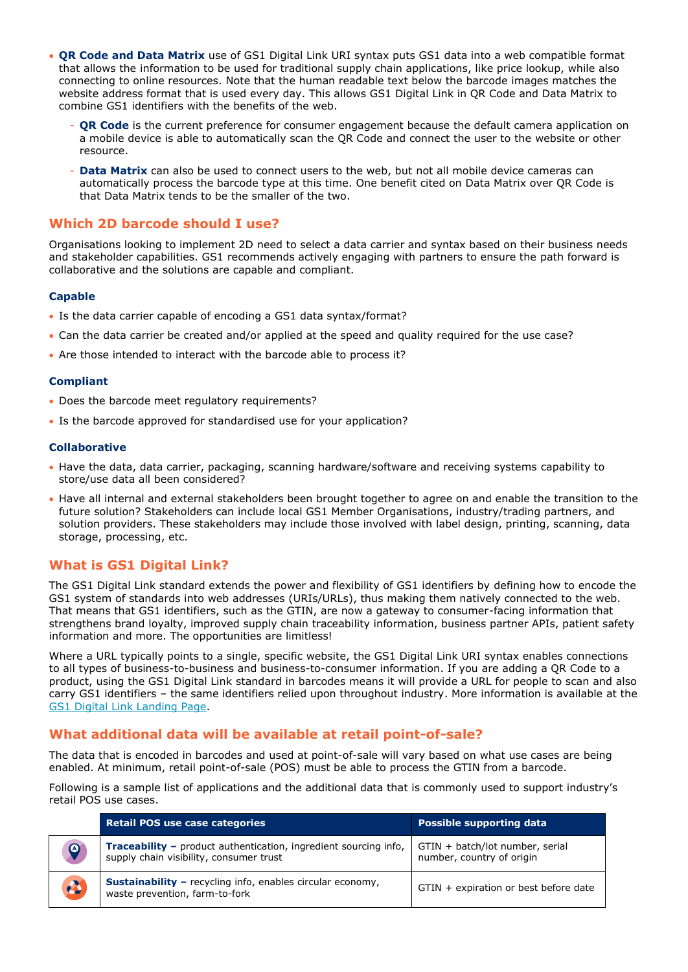- **QR Code and Data Matrix** use of GS1 Digital Link URI syntax puts GS1 data into a web compatible format that allows the information to be used for traditional supply chain applications, like price lookup, while also connecting to online resources. Note that the human readable text below the barcode images matches the website address format that is used every day. This allows GS1 Digital Link in QR Code and Data Matrix to combine GS1 identifiers with the benefits of the web.
	- **QR Code** is the current preference for consumer engagement because the default camera application on a mobile device is able to automatically scan the QR Code and connect the user to the website or other resource.
	- Data Matrix can also be used to connect users to the web, but not all mobile device cameras can automatically process the barcode type at this time. One benefit cited on Data Matrix over QR Code is that Data Matrix tends to be the smaller of the two.

## <span id="page-2-0"></span>**Which 2D barcode should I use?**

Organisations looking to implement 2D need to select a data carrier and syntax based on their business needs and stakeholder capabilities. GS1 recommends actively engaging with partners to ensure the path forward is collaborative and the solutions are capable and compliant.

#### **Capable**

- Is the data carrier capable of encoding a GS1 data syntax/format?
- Can the data carrier be created and/or applied at the speed and quality required for the use case?
- Are those intended to interact with the barcode able to process it?

#### **Compliant**

- Does the barcode meet regulatory requirements?
- Is the barcode approved for standardised use for your application?

#### **Collaborative**

- Have the data, data carrier, packaging, scanning hardware/software and receiving systems capability to store/use data all been considered?
- Have all internal and external stakeholders been brought together to agree on and enable the transition to the future solution? Stakeholders can include local GS1 Member Organisations, industry/trading partners, and solution providers. These stakeholders may include those involved with label design, printing, scanning, data storage, processing, etc.

# **What is GS1 Digital Link?**

The GS1 Digital Link standard extends the power and flexibility of GS1 identifiers by defining how to encode the GS1 system of standards into web addresses (URIs/URLs), thus making them natively connected to the web. That means that GS1 identifiers, such as the GTIN, are now a gateway to consumer-facing information that strengthens brand loyalty, improved supply chain traceability information, business partner APIs, patient safety information and more. The opportunities are limitless!

Where a URL typically points to a single, specific website, the GS1 Digital Link URI syntax enables connections to all types of business-to-business and business-to-consumer information. If you are adding a QR Code to a product, using the GS1 Digital Link standard in barcodes means it will provide a URL for people to scan and also carry GS1 identifiers – the same identifiers relied upon throughout industry. More information is available at the [GS1 Digital Link Landing Page.](http://www.gs1.org/standards/gs1-digital-link)

## **What additional data will be available at retail point-of-sale?**

The data that is encoded in barcodes and used at point-of-sale will vary based on what use cases are being enabled. At minimum, retail point-of-sale (POS) must be able to process the GTIN from a barcode.

Following is a sample list of applications and the additional data that is commonly used to support industry's retail POS use cases.

|          | <b>Retail POS use case categories</b>                                                                              | <b>Possible supporting data</b>                              |  |
|----------|--------------------------------------------------------------------------------------------------------------------|--------------------------------------------------------------|--|
| $\Omega$ | <b>Traceability</b> – product authentication, ingredient sourcing info,<br>supply chain visibility, consumer trust | GTIN + batch/lot number, serial<br>number, country of origin |  |
| 2        | <b>Sustainability - recycling info, enables circular economy,</b><br>waste prevention, farm-to-fork                | GTIN + expiration or best before date                        |  |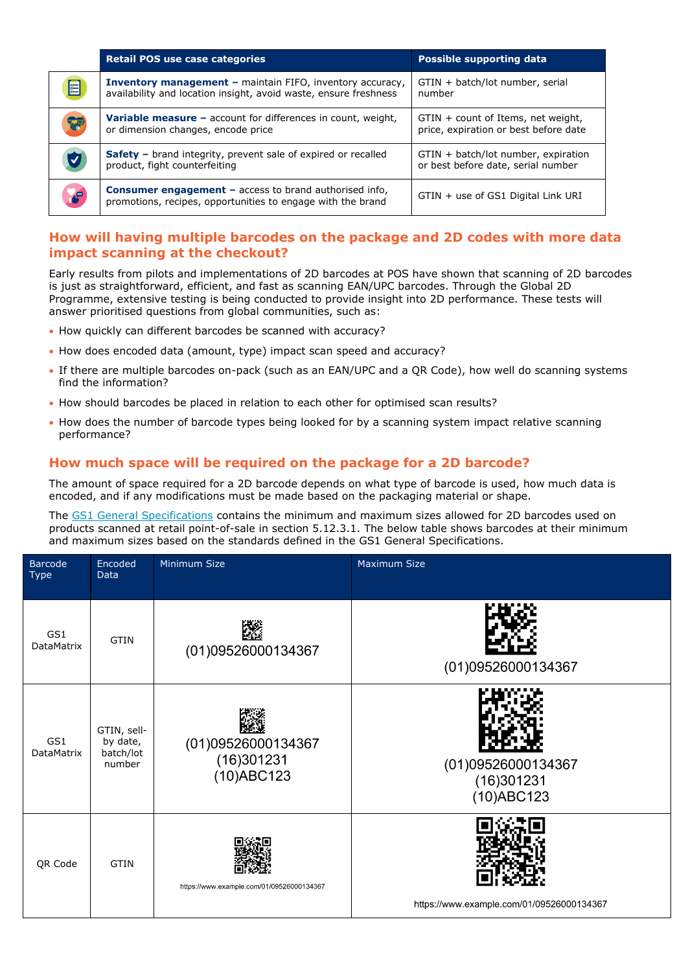|                                                                                                                                                                                                                                | <b>Retail POS use case categories</b>                                                                                                | Possible supporting data                                                    |
|--------------------------------------------------------------------------------------------------------------------------------------------------------------------------------------------------------------------------------|--------------------------------------------------------------------------------------------------------------------------------------|-----------------------------------------------------------------------------|
| 目                                                                                                                                                                                                                              | <b>Inventory management - maintain FIFO, inventory accuracy,</b><br>availability and location insight, avoid waste, ensure freshness | GTIN + batch/lot number, serial<br>number                                   |
| 窗                                                                                                                                                                                                                              | <b>Variable measure -</b> account for differences in count, weight,<br>or dimension changes, encode price                            | GTIN + count of Items, net weight,<br>price, expiration or best before date |
| Ø                                                                                                                                                                                                                              | Safety - brand integrity, prevent sale of expired or recalled<br>product, fight counterfeiting                                       | GTIN + batch/lot number, expiration<br>or best before date, serial number   |
| re de la partie de la partie de la partie de la partie de la partie de la partie de la partie de la partie de la partie de la partie de la partie de la partie de la partie de la partie de la partie de la partie de la parti | <b>Consumer engagement - access to brand authorised info,</b><br>promotions, recipes, opportunities to engage with the brand         | GTIN + use of GS1 Digital Link URI                                          |

## **How will having multiple barcodes on the package and 2D codes with more data impact scanning at the checkout?**

Early results from pilots and implementations of 2D barcodes at POS have shown that scanning of 2D barcodes is just as straightforward, efficient, and fast as scanning EAN/UPC barcodes. Through the Global 2D Programme, extensive testing is being conducted to provide insight into 2D performance. These tests will answer prioritised questions from global communities, such as:

- How quickly can different barcodes be scanned with accuracy?
- How does encoded data (amount, type) impact scan speed and accuracy?
- If there are multiple barcodes on-pack (such as an EAN/UPC and a QR Code), how well do scanning systems find the information?
- How should barcodes be placed in relation to each other for optimised scan results?
- How does the number of barcode types being looked for by a scanning system impact relative scanning performance?

## **How much space will be required on the package for a 2D barcode?**

The amount of space required for a 2D barcode depends on what type of barcode is used, how much data is encoded, and if any modifications must be made based on the packaging material or shape.

The [GS1 General Specifications](https://www.gs1.org/standards/barcodes-epcrfid-id-keys/gs1-general-specifications) contains the minimum and maximum sizes allowed for 2D barcodes used on products scanned at retail point-of-sale in section 5.12.3.1. The below table shows barcodes at their minimum and maximum sizes based on the standards defined in the GS1 General Specifications.

| Barcode<br><b>Type</b>   | Encoded<br>Data                                | Minimum Size                                      | Maximum Size                                   |
|--------------------------|------------------------------------------------|---------------------------------------------------|------------------------------------------------|
| GS1<br>DataMatrix        | <b>GTIN</b>                                    | 蹨<br>(01)09526000134367                           | (01)09526000134367                             |
| GS1<br><b>DataMatrix</b> | GTIN, sell-<br>by date,<br>batch/lot<br>number | (01)09526000134367<br>(16)301231<br>$(10)$ ABC123 | (01)09526000134367<br>(16)301231<br>(10)ABC123 |
| QR Code                  | <b>GTIN</b>                                    | https://www.example.com/01/09526000134367         | https://www.example.com/01/09526000134367      |